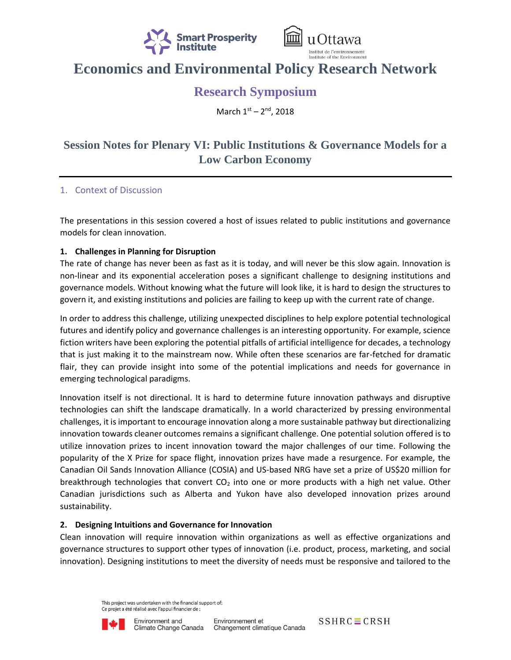



# **Economics and Environmental Policy Research Network**

### **Research Symposium**

March 1st - 2<sup>nd</sup>, 2018

## **Session Notes for Plenary VI: Public Institutions & Governance Models for a Low Carbon Economy**

#### 1. Context of Discussion

The presentations in this session covered a host of issues related to public institutions and governance models for clean innovation.

#### **1. Challenges in Planning for Disruption**

The rate of change has never been as fast as it is today, and will never be this slow again. Innovation is non-linear and its exponential acceleration poses a significant challenge to designing institutions and governance models. Without knowing what the future will look like, it is hard to design the structures to govern it, and existing institutions and policies are failing to keep up with the current rate of change.

In order to address this challenge, utilizing unexpected disciplines to help explore potential technological futures and identify policy and governance challenges is an interesting opportunity. For example, science fiction writers have been exploring the potential pitfalls of artificial intelligence for decades, a technology that is just making it to the mainstream now. While often these scenarios are far-fetched for dramatic flair, they can provide insight into some of the potential implications and needs for governance in emerging technological paradigms.

Innovation itself is not directional. It is hard to determine future innovation pathways and disruptive technologies can shift the landscape dramatically. In a world characterized by pressing environmental challenges, it is important to encourage innovation along a more sustainable pathway but directionalizing innovation towards cleaner outcomes remains a significant challenge. One potential solution offered is to utilize innovation prizes to incent innovation toward the major challenges of our time. Following the popularity of the X Prize for space flight, innovation prizes have made a resurgence. For example, the Canadian Oil Sands Innovation Alliance (COSIA) and US-based NRG have set a prize of US\$20 million for breakthrough technologies that convert  $CO<sub>2</sub>$  into one or more products with a high net value. Other Canadian jurisdictions such as Alberta and Yukon have also developed innovation prizes around sustainability.

#### **2. Designing Intuitions and Governance for Innovation**

Clean innovation will require innovation within organizations as well as effective organizations and governance structures to support other types of innovation (i.e. product, process, marketing, and social innovation). Designing institutions to meet the diversity of needs must be responsive and tailored to the

> This project was undertaken with the financial support of: Ce projet a été réalisé avec l'appui financier de :